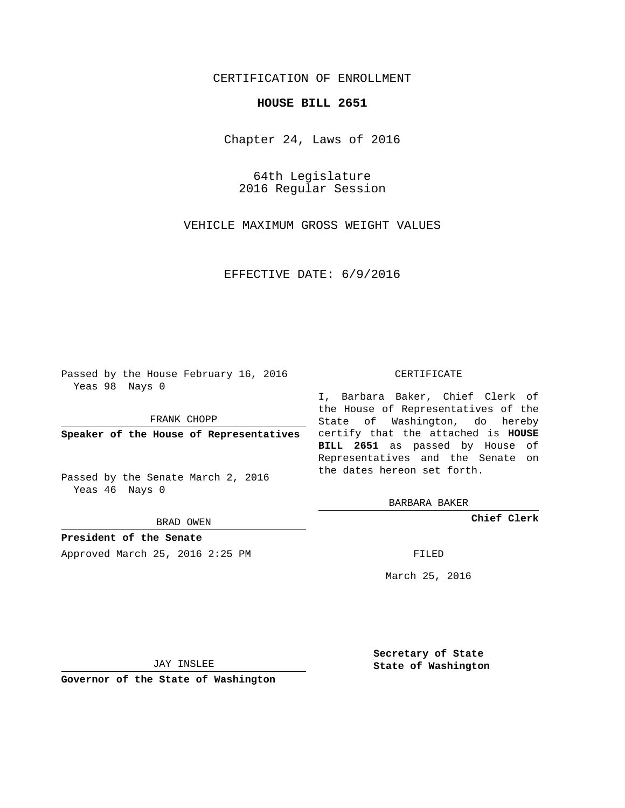## CERTIFICATION OF ENROLLMENT

## **HOUSE BILL 2651**

Chapter 24, Laws of 2016

64th Legislature 2016 Regular Session

VEHICLE MAXIMUM GROSS WEIGHT VALUES

EFFECTIVE DATE: 6/9/2016

Passed by the House February 16, 2016 Yeas 98 Nays 0

FRANK CHOPP

Passed by the Senate March 2, 2016 Yeas 46 Nays 0

BRAD OWEN

**President of the Senate**

Approved March 25, 2016 2:25 PM FILED

## CERTIFICATE

**Speaker of the House of Representatives** certify that the attached is **HOUSE** I, Barbara Baker, Chief Clerk of the House of Representatives of the State of Washington, do hereby **BILL 2651** as passed by House of Representatives and the Senate on the dates hereon set forth.

BARBARA BAKER

**Chief Clerk**

March 25, 2016

JAY INSLEE

**Governor of the State of Washington**

**Secretary of State State of Washington**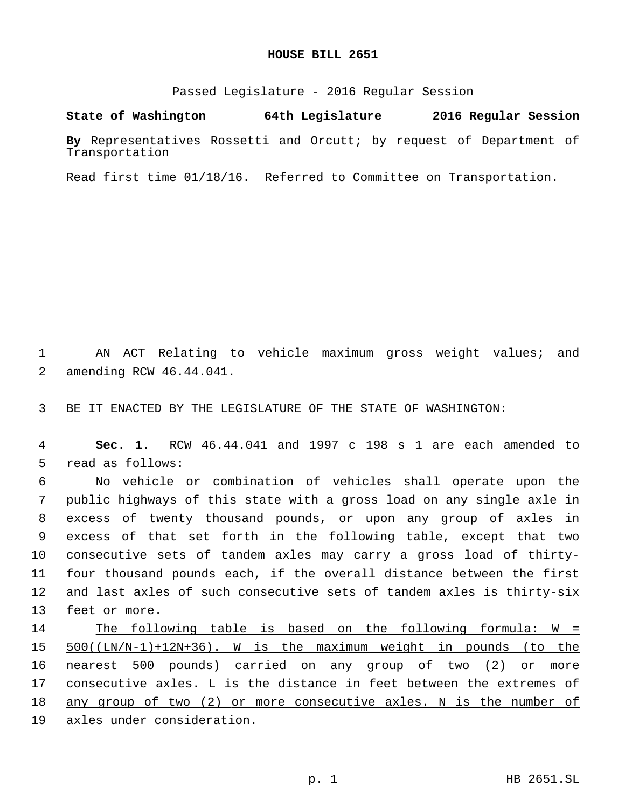## **HOUSE BILL 2651**

Passed Legislature - 2016 Regular Session

**State of Washington 64th Legislature 2016 Regular Session**

**By** Representatives Rossetti and Orcutt; by request of Department of Transportation

Read first time 01/18/16. Referred to Committee on Transportation.

1 AN ACT Relating to vehicle maximum gross weight values; and 2 amending RCW 46.44.041.

3 BE IT ENACTED BY THE LEGISLATURE OF THE STATE OF WASHINGTON:

4 **Sec. 1.** RCW 46.44.041 and 1997 c 198 s 1 are each amended to 5 read as follows:

 No vehicle or combination of vehicles shall operate upon the public highways of this state with a gross load on any single axle in excess of twenty thousand pounds, or upon any group of axles in excess of that set forth in the following table, except that two consecutive sets of tandem axles may carry a gross load of thirty- four thousand pounds each, if the overall distance between the first and last axles of such consecutive sets of tandem axles is thirty-six 13 feet or more.

 The following table is based on the following formula: W = 500((LN/N-1)+12N+36). W is the maximum weight in pounds (to the nearest 500 pounds) carried on any group of two (2) or more 17 consecutive axles. L is the distance in feet between the extremes of any group of two (2) or more consecutive axles. N is the number of axles under consideration.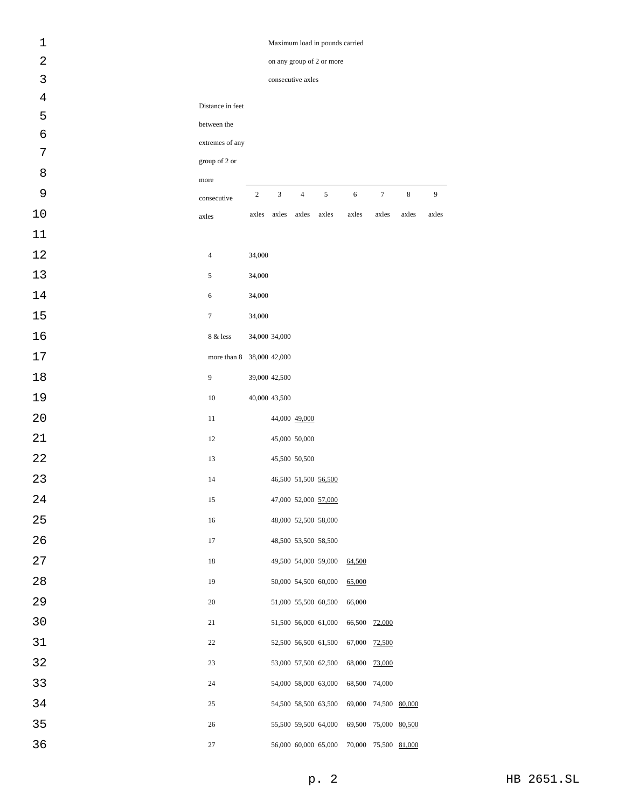| $1\,$          | Maximum load in pounds carried |                |               |                   |                                            |            |                      |             |       |  |
|----------------|--------------------------------|----------------|---------------|-------------------|--------------------------------------------|------------|----------------------|-------------|-------|--|
| 2              | on any group of 2 or more      |                |               |                   |                                            |            |                      |             |       |  |
| 3              |                                |                |               | consecutive axles |                                            |            |                      |             |       |  |
| $\overline{4}$ | Distance in feet               |                |               |                   |                                            |            |                      |             |       |  |
| 5              | between the                    |                |               |                   |                                            |            |                      |             |       |  |
| 6              | extremes of any                |                |               |                   |                                            |            |                      |             |       |  |
| 7              | group of 2 or                  |                |               |                   |                                            |            |                      |             |       |  |
| 8              | more                           |                |               |                   |                                            |            |                      |             |       |  |
| 9              | consecutive                    | $\overline{c}$ | 3             | $\overline{4}$    | 5                                          | $\sqrt{6}$ | $\boldsymbol{7}$     | $\,$ 8 $\,$ | 9     |  |
| 10             | axles                          | axles          | axles         | axles             | axles                                      | axles      | axles                | axles       | axles |  |
| 11             |                                |                |               |                   |                                            |            |                      |             |       |  |
| 12             | $\overline{4}$                 | 34,000         |               |                   |                                            |            |                      |             |       |  |
| 13             | 5                              | 34,000         |               |                   |                                            |            |                      |             |       |  |
| 14             | 6                              | 34,000         |               |                   |                                            |            |                      |             |       |  |
| 15             | $\overline{7}$                 | 34,000         |               |                   |                                            |            |                      |             |       |  |
| 16             | 8 & less                       |                | 34,000 34,000 |                   |                                            |            |                      |             |       |  |
| 17             | more than 8 38,000 42,000      |                |               |                   |                                            |            |                      |             |       |  |
| 18             | $\overline{9}$                 |                | 39,000 42,500 |                   |                                            |            |                      |             |       |  |
| 19             | 10                             |                | 40,000 43,500 |                   |                                            |            |                      |             |       |  |
| 20             | 11                             |                |               | 44,000 49,000     |                                            |            |                      |             |       |  |
| 21             | 12                             |                |               | 45,000 50,000     |                                            |            |                      |             |       |  |
| 22             | 13                             |                |               | 45,500 50,500     |                                            |            |                      |             |       |  |
| 23             | 14                             |                |               |                   | 46,500 51,500 56,500                       |            |                      |             |       |  |
| 24             | 15                             |                |               |                   | 47,000 52,000 57,000                       |            |                      |             |       |  |
| 25             | $16\,$                         |                |               |                   | 48,000 52,500 58,000                       |            |                      |             |       |  |
| 26             | 17                             |                |               |                   | 48,500 53,500 58,500                       |            |                      |             |       |  |
| 27             | 18                             |                |               |                   | 49,500 54,000 59,000                       | 64,500     |                      |             |       |  |
| 28             | 19                             |                |               |                   | $50,\!000$ $\,$ $54,\!500$ $\,$ $60,\!000$ | 65,000     |                      |             |       |  |
| 29             | 20                             |                |               |                   | 51,000 55,500 60,500                       | 66,000     |                      |             |       |  |
| 30             | 21                             |                |               |                   | 51,500 56,000 61,000                       |            | 66,500 72,000        |             |       |  |
| 31             | 22                             |                |               |                   | 52,500 56,500 61,500                       |            | 67,000 72,500        |             |       |  |
| 32             | 23                             |                |               |                   | 53,000 57,500 62,500                       |            | 68,000 73,000        |             |       |  |
| 33             | 24                             |                |               |                   | 54,000 58,000 63,000                       |            | 68,500 74,000        |             |       |  |
| 34             | 25                             |                |               |                   | 54,500 58,500 63,500                       |            | 69,000 74,500 80,000 |             |       |  |
| 35             | 26                             |                |               |                   | 55,500 59,500 64,000                       |            | 69,500 75,000 80,500 |             |       |  |
| 36             | $27\,$                         |                |               |                   |                                            |            | 70,000 75,500 81,000 |             |       |  |
|                |                                |                |               |                   | 56,000 60,000 65,000                       |            |                      |             |       |  |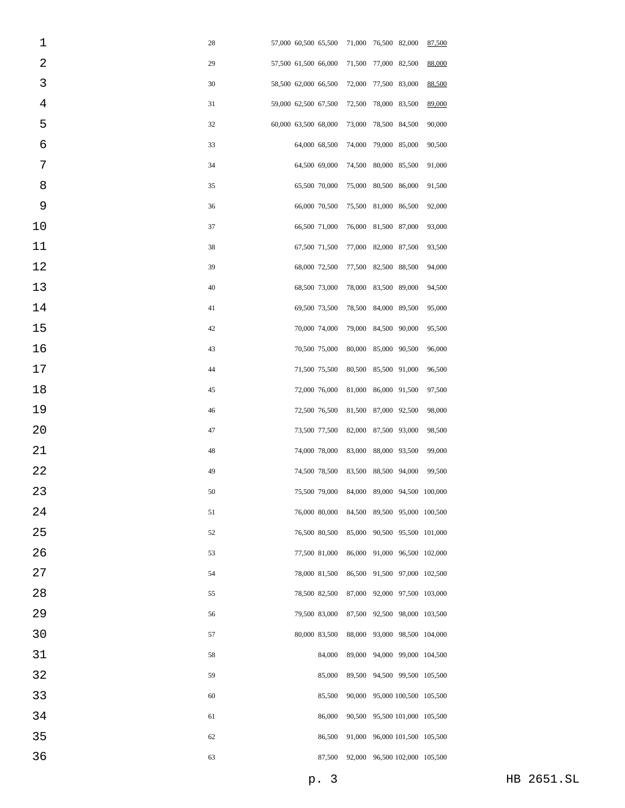| 1              | 28 | 57,000 60,500 65,500 |                                            |        | 71,000 76,500 82,000 |                               | 87,500 |
|----------------|----|----------------------|--------------------------------------------|--------|----------------------|-------------------------------|--------|
| 2              | 29 | 57,500 61,500 66,000 |                                            | 71,500 | 77,000 82,500        |                               | 88,000 |
| 3              | 30 | 58,500 62,000 66,500 |                                            | 72,000 | 77,500 83,000        |                               | 88,500 |
| $\overline{4}$ | 31 | 59,000 62,500 67,500 |                                            | 72,500 | 78,000 83,500        |                               | 89,000 |
| 5              | 32 | 60,000 63,500 68,000 |                                            | 73,000 | 78,500 84,500        |                               | 90,000 |
| 6              | 33 | 64,000 68,500        |                                            | 74,000 | 79,000 85,000        |                               | 90,500 |
| 7              | 34 | 64,500 69,000        |                                            | 74,500 | 80,000 85,500        |                               | 91,000 |
| 8              | 35 | 65,500 70,000        |                                            | 75,000 | 80,500 86,000        |                               | 91,500 |
| 9              | 36 | 66,000 70,500        |                                            | 75,500 | 81,000 86,500        |                               | 92,000 |
| 10             | 37 | 66,500 71,000        |                                            |        | 76,000 81,500 87,000 |                               | 93,000 |
| 11             | 38 | 67,500 71,500        |                                            | 77,000 | 82,000 87,500        |                               | 93,500 |
| 12             | 39 | 68,000 72,500        |                                            | 77,500 | 82,500 88,500        |                               | 94,000 |
| 13             | 40 | 68,500 73,000        |                                            | 78,000 | 83,500 89,000        |                               | 94,500 |
| 14             | 41 | 69,500 73,500        |                                            | 78,500 | 84,000 89,500        |                               | 95,000 |
| 15             | 42 | 70,000 74,000        |                                            | 79,000 | 84,500 90,000        |                               | 95,500 |
| 16             | 43 | 70,500 75,000        |                                            | 80,000 | 85,000 90,500        |                               | 96,000 |
| 17             | 44 | 71,500 75,500        |                                            | 80,500 | 85,500 91,000        |                               | 96,500 |
| 18             | 45 | 72,000 76,000        |                                            | 81,000 | 86,000 91,500        |                               | 97,500 |
| 19             | 46 | 72,500 76,500        |                                            | 81,500 | 87,000 92,500        |                               | 98,000 |
| 20             | 47 | 73,500 77,500        |                                            | 82,000 | 87,500 93,000        |                               | 98,500 |
| 21             | 48 | 74,000 78,000        |                                            | 83,000 | 88,000 93,500        |                               | 99,000 |
| 22             | 49 | 74,500 78,500        |                                            |        | 83,500 88,500 94,000 |                               | 99,500 |
| 23             | 50 |                      | 75,500 79,000 84,000 89,000 94,500 100,000 |        |                      |                               |        |
| 24             | 51 | 76,000 80,000        |                                            |        |                      | 84,500 89,500 95,000 100,500  |        |
| 25             | 52 | 76,500 80,500        |                                            |        |                      | 85,000 90,500 95,500 101,000  |        |
| 26             | 53 | 77,500 81,000        |                                            |        |                      | 86,000 91,000 96,500 102,000  |        |
| 27             | 54 | 78,000 81,500        |                                            |        |                      | 86,500 91,500 97,000 102,500  |        |
| 28             | 55 | 78,500 82,500        |                                            |        |                      | 87,000 92,000 97,500 103,000  |        |
| 29             | 56 | 79,500 83,000        |                                            |        |                      | 87,500 92,500 98,000 103,500  |        |
| 30             | 57 | 80,000 83,500        |                                            |        |                      | 88,000 93,000 98,500 104,000  |        |
| 31             | 58 |                      | 84,000                                     |        |                      | 89,000 94,000 99,000 104,500  |        |
| 32             | 59 |                      | 85,000                                     |        |                      | 89,500 94,500 99,500 105,500  |        |
| 33             | 60 |                      | 85,500                                     |        |                      | 90,000 95,000 100,500 105,500 |        |
| 34             | 61 |                      | 86,000                                     |        |                      | 90,500 95,500 101,000 105,500 |        |
| 35             | 62 |                      | 86,500                                     |        |                      | 91,000 96,000 101,500 105,500 |        |
| 36             | 63 |                      | 87,500                                     |        |                      | 92,000 96,500 102,000 105,500 |        |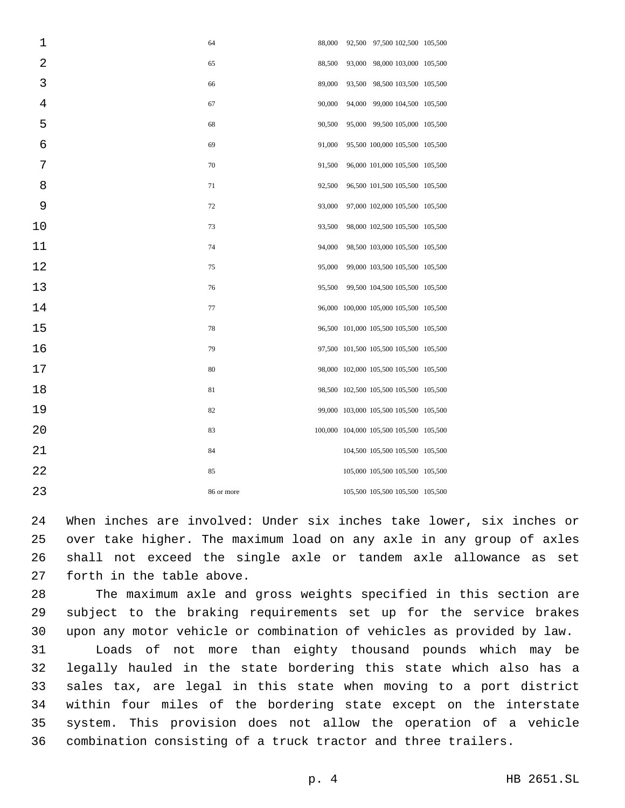| 1  | 64         | 88,000 | 92,500 97,500 102,500 105,500           |  |
|----|------------|--------|-----------------------------------------|--|
| 2  | 65         | 88,500 | 93,000 98,000 103,000 105,500           |  |
| 3  | 66         | 89,000 | 93,500 98,500 103,500 105,500           |  |
| 4  | 67         | 90,000 | 94,000 99,000 104,500 105,500           |  |
| 5  | 68         | 90,500 | 95,000 99,500 105,000 105,500           |  |
| 6  | 69         | 91,000 | 95,500 100,000 105,500 105,500          |  |
| 7  | 70         | 91,500 | 96,000 101,000 105,500 105,500          |  |
| 8  | 71         | 92,500 | 96,500 101,500 105,500 105,500          |  |
| 9  | 72         | 93,000 | 97,000 102,000 105,500 105,500          |  |
| 10 | 73         | 93,500 | 98,000 102,500 105,500 105,500          |  |
| 11 | 74         | 94,000 | 98,500 103,000 105,500 105,500          |  |
| 12 | 75         | 95,000 | 99,000 103,500 105,500 105,500          |  |
| 13 | 76         | 95,500 | 99,500 104,500 105,500 105,500          |  |
| 14 | 77         |        | 96,000 100,000 105,000 105,500 105,500  |  |
| 15 | 78         |        | 96,500 101,000 105,500 105,500 105,500  |  |
| 16 | 79         |        | 97,500 101,500 105,500 105,500 105,500  |  |
| 17 | 80         |        | 98,000 102,000 105,500 105,500 105,500  |  |
| 18 | 81         |        | 98,500 102,500 105,500 105,500 105,500  |  |
| 19 | 82         |        | 99,000 103,000 105,500 105,500 105,500  |  |
| 20 | 83         |        | 100,000 104,000 105,500 105,500 105,500 |  |
| 21 | 84         |        | 104,500 105,500 105,500 105,500         |  |
| 22 | 85         |        | 105,000 105,500 105,500 105,500         |  |
| 23 | 86 or more |        | 105,500 105,500 105,500 105,500         |  |
|    |            |        |                                         |  |

 When inches are involved: Under six inches take lower, six inches or over take higher. The maximum load on any axle in any group of axles shall not exceed the single axle or tandem axle allowance as set 27 forth in the table above.

 The maximum axle and gross weights specified in this section are subject to the braking requirements set up for the service brakes upon any motor vehicle or combination of vehicles as provided by law.

 Loads of not more than eighty thousand pounds which may be legally hauled in the state bordering this state which also has a sales tax, are legal in this state when moving to a port district within four miles of the bordering state except on the interstate system. This provision does not allow the operation of a vehicle combination consisting of a truck tractor and three trailers.